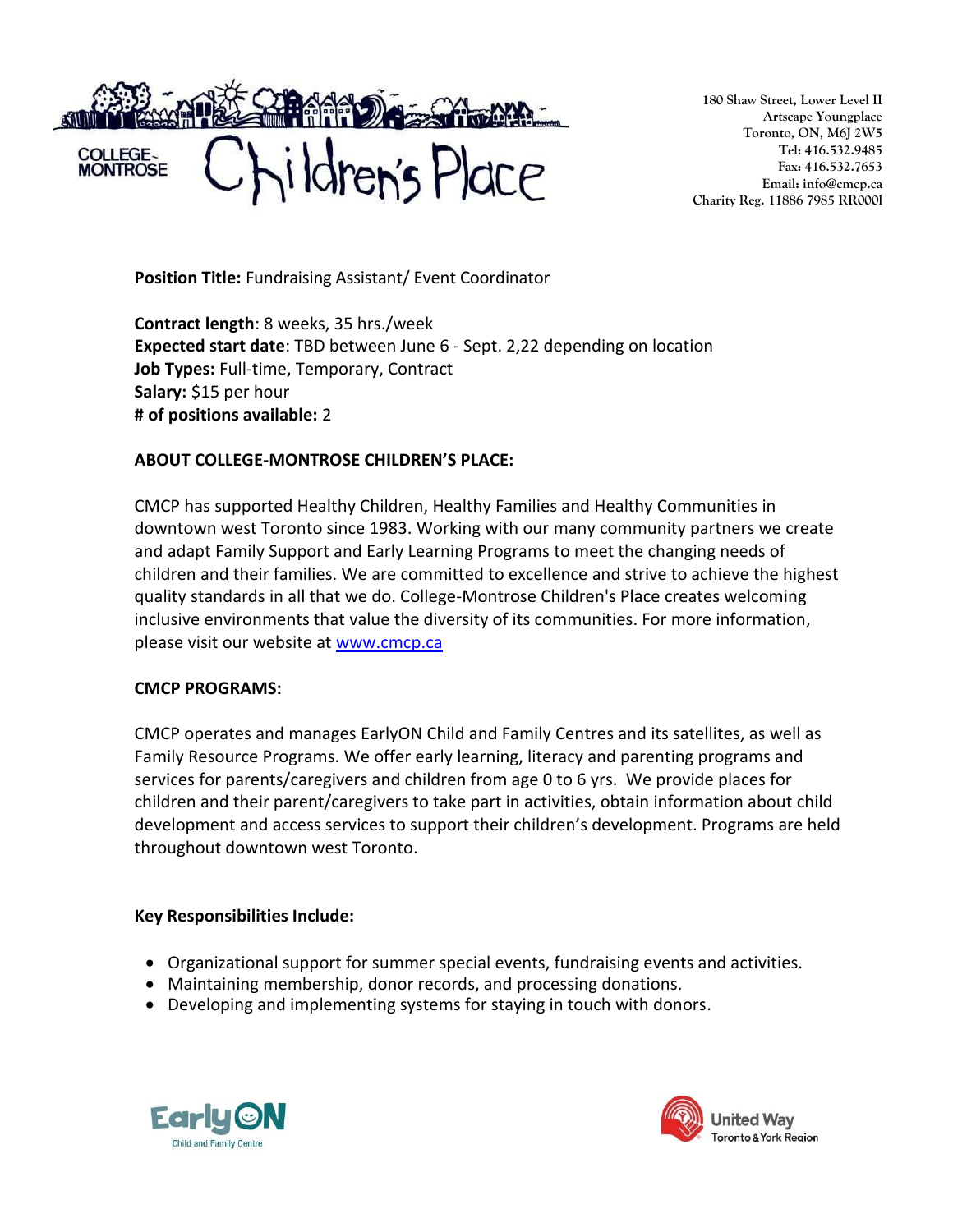

**180 Shaw Street, Lower Level II Artscape Youngplace Toronto, ON, M6J 2W5 Tel: 416.532.9485 Fax: 416.532.7653 Email: info@cmcp.ca Charity Reg. 11886 7985 RR000l**

**Position Title:** Fundraising Assistant/ Event Coordinator

**Contract length**: 8 weeks, 35 hrs./week **Expected start date**: TBD between June 6 - Sept. 2,22 depending on location **Job Types:** Full-time, Temporary, Contract **Salary:** \$15 per hour **# of positions available:** 2

## **ABOUT COLLEGE-MONTROSE CHILDREN'S PLACE:**

CMCP has supported Healthy Children, Healthy Families and Healthy Communities in downtown west Toronto since 1983. Working with our many community partners we create and adapt Family Support and Early Learning Programs to meet the changing needs of children and their families. We are committed to excellence and strive to achieve the highest quality standards in all that we do. College-Montrose Children's Place creates welcoming inclusive environments that value the diversity of its communities. For more information, please visit our website at [www.cmcp.ca](http://www.cmcp.ca/)

## **CMCP PROGRAMS:**

CMCP operates and manages EarlyON Child and Family Centres and its satellites, as well as Family Resource Programs. We offer early learning, literacy and parenting programs and services for parents/caregivers and children from age 0 to 6 yrs. We provide places for children and their parent/caregivers to take part in activities, obtain information about child development and access services to support their children's development. Programs are held throughout downtown west Toronto.

## **Key Responsibilities Include:**

- Organizational support for summer special events, fundraising events and activities.
- Maintaining membership, donor records, and processing donations.
- Developing and implementing systems for staying in touch with donors.



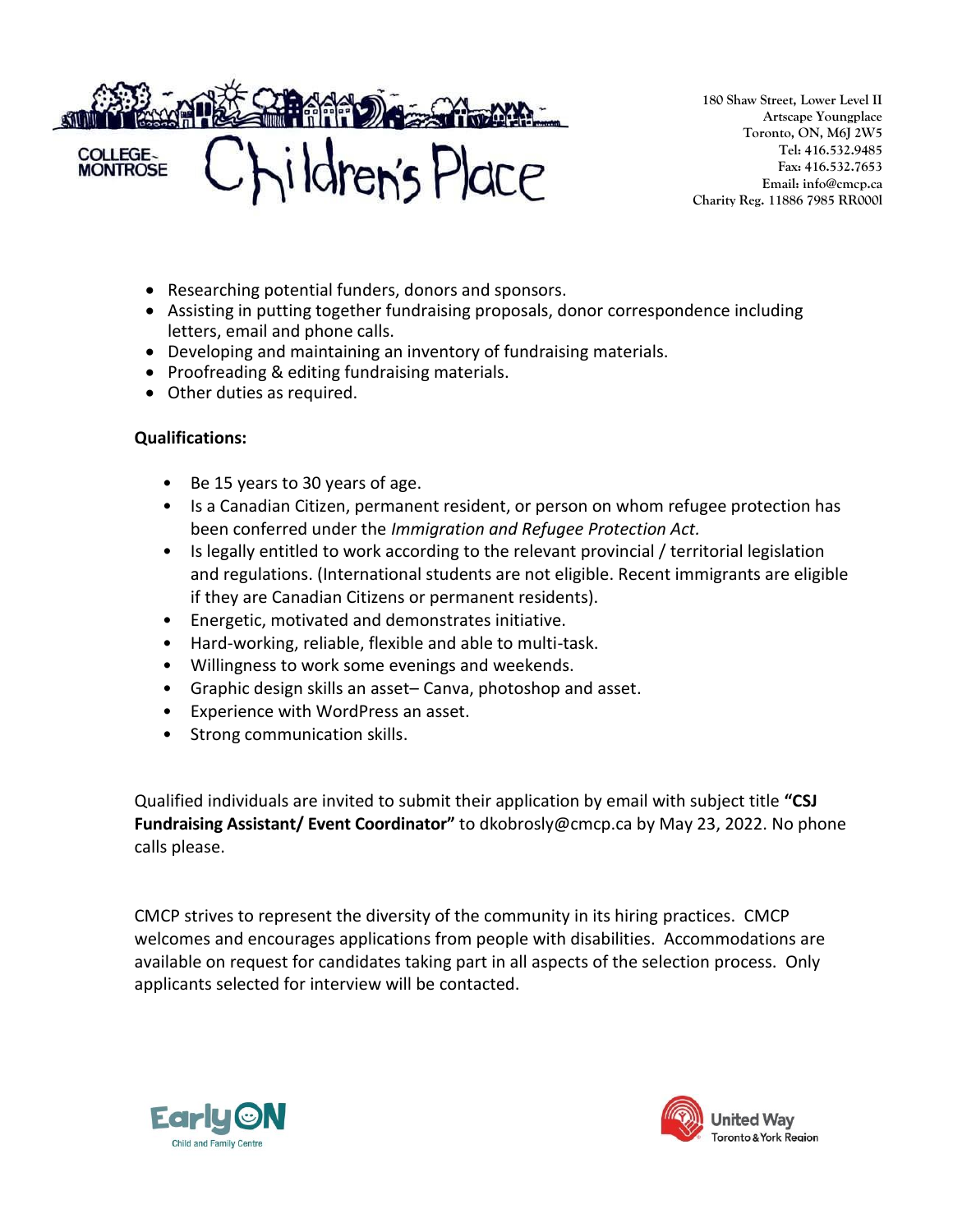

**180 Shaw Street, Lower Level II Artscape Youngplace Toronto, ON, M6J 2W5 Tel: 416.532.9485 Fax: 416.532.7653 Email: info@cmcp.ca Charity Reg. 11886 7985 RR000l**

- Researching potential funders, donors and sponsors.
- Assisting in putting together fundraising proposals, donor correspondence including letters, email and phone calls.
- Developing and maintaining an inventory of fundraising materials.
- Proofreading & editing fundraising materials.
- Other duties as required.

## **Qualifications:**

- Be 15 years to 30 years of age.
- Is a Canadian Citizen, permanent resident, or person on whom refugee protection has been conferred under the *Immigration and Refugee Protection Act.*
- Is legally entitled to work according to the relevant provincial / territorial legislation and regulations. (International students are not eligible. Recent immigrants are eligible if they are Canadian Citizens or permanent residents).
- Energetic, motivated and demonstrates initiative.
- Hard-working, reliable, flexible and able to multi-task.
- Willingness to work some evenings and weekends.
- Graphic design skills an asset– Canva, photoshop and asset.
- Experience with WordPress an asset.
- Strong communication skills.

Qualified individuals are invited to submit their application by email with subject title **"CSJ Fundraising Assistant/ Event Coordinator"** to dkobrosly@cmcp.ca by May 23, 2022. No phone calls please.

CMCP strives to represent the diversity of the community in its hiring practices. CMCP welcomes and encourages applications from people with disabilities. Accommodations are available on request for candidates taking part in all aspects of the selection process. Only applicants selected for interview will be contacted.